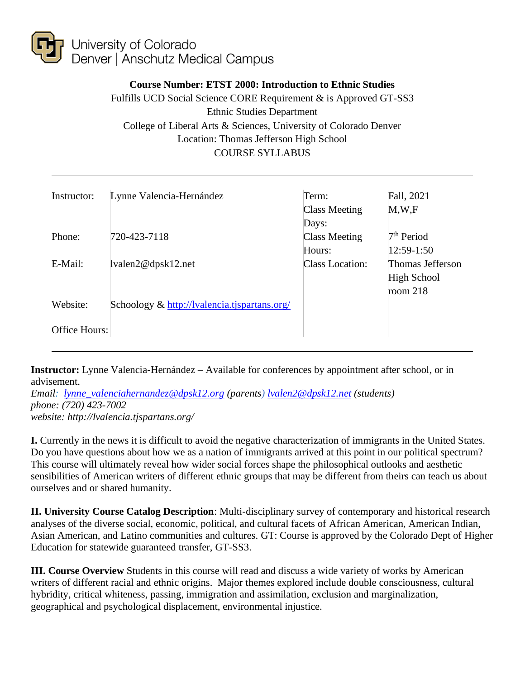

# **Course Number: ETST 2000: Introduction to Ethnic Studies** Fulfills UCD Social Science CORE Requirement & is Approved GT-SS3 Ethnic Studies Department College of Liberal Arts & Sciences, University of Colorado Denver Location: Thomas Jefferson High School COURSE SYLLABUS

| Instructor:   | Lynne Valencia-Hernández                     | Term:                  | Fall, 2021             |
|---------------|----------------------------------------------|------------------------|------------------------|
|               |                                              | <b>Class Meeting</b>   | M,W,F                  |
|               |                                              | Days:                  |                        |
| Phone:        | 720-423-7118                                 | <b>Class Meeting</b>   | 7 <sup>th</sup> Period |
|               |                                              | Hours:                 | 12:59-1:50             |
| E-Mail:       | lvalen2@dpsk12.net                           | <b>Class Location:</b> | Thomas Jefferson       |
|               |                                              |                        | High School            |
|               |                                              |                        | room $218$             |
| Website:      | Schoology & http://lvalencia.tjspartans.org/ |                        |                        |
|               |                                              |                        |                        |
| Office Hours: |                                              |                        |                        |
|               |                                              |                        |                        |

**Instructor:** Lynne Valencia-Hernández – Available for conferences by appointment after school, or in advisement.

*Email: [lynne\\_valenciahernandez@dpsk12.org](mailto:lynne_valenciahernandez@dpsk12.org) (parents) [lvalen2@dpsk12.net](mailto:lvalen2@dpsk12.net) (students) phone: (720) 423-7002 website: http://lvalencia.tjspartans.org/*

**I.** Currently in the news it is difficult to avoid the negative characterization of immigrants in the United States. Do you have questions about how we as a nation of immigrants arrived at this point in our political spectrum? This course will ultimately reveal how wider social forces shape the philosophical outlooks and aesthetic sensibilities of American writers of different ethnic groups that may be different from theirs can teach us about ourselves and or shared humanity.

**II. University Course Catalog Description**: Multi-disciplinary survey of contemporary and historical research analyses of the diverse social, economic, political, and cultural facets of African American, American Indian, Asian American, and Latino communities and cultures. GT: Course is approved by the Colorado Dept of Higher Education for statewide guaranteed transfer, GT-SS3.

**III. Course Overview** Students in this course will read and discuss a wide variety of works by American writers of different racial and ethnic origins. Major themes explored include double consciousness, cultural hybridity, critical whiteness, passing, immigration and assimilation, exclusion and marginalization, geographical and psychological displacement, environmental injustice.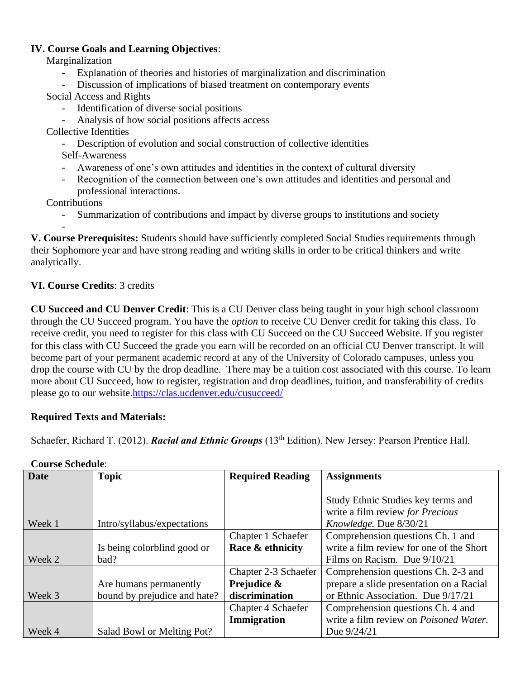#### **IV. Course Goals and Learning Objectives**:

Marginalization

- Explanation of theories and histories of marginalization and discrimination
- Discussion of implications of biased treatment on contemporary events
- Social Access and Rights
	- Identification of diverse social positions
	- Analysis of how social positions affects access

Collective Identities

- Description of evolution and social construction of collective identities

Self-Awareness

- Awareness of one's own attitudes and identities in the context of cultural diversity
- Recognition of the connection between one's own attitudes and identities and personal and professional interactions.

**Contributions** 

- Summarization of contributions and impact by diverse groups to institutions and society

- **V. Course Prerequisites:** Students should have sufficiently completed Social Studies requirements through their Sophomore year and have strong reading and writing skills in order to be critical thinkers and write analytically.

# **VI. Course Credits**: 3 credits

**CU Succeed and CU Denver Credit**: This is a CU Denver class being taught in your high school classroom through the CU Succeed program. You have the *option* to receive CU Denver credit for taking this class. To receive credit, you need to register for this class with CU Succeed on the CU Succeed Website. If you register for this class with CU Succeed the grade you earn will be recorded on an official CU Denver transcript. It will become part of your permanent academic record at any of the University of Colorado campuses, unless you drop the course with CU by the drop deadline. There may be a tuition cost associated with this course. To learn more about CU Succeed, how to register, registration and drop deadlines, tuition, and transferability of credits please go to our website[.https://clas.ucdenver.edu/cusucceed/](https://clas.ucdenver.edu/cusucceed/)

#### **Required Texts and Materials:**

Schaefer, Richard T. (2012). *Racial and Ethnic Groups* (13<sup>th</sup> Edition). New Jersey: Pearson Prentice Hall.

| <b>Date</b> | <b>Topic</b>                 | <b>Required Reading</b> | <b>Assignments</b>                       |
|-------------|------------------------------|-------------------------|------------------------------------------|
|             |                              |                         |                                          |
|             |                              |                         | Study Ethnic Studies key terms and       |
|             |                              |                         | write a film review for Precious         |
| Week 1      | Intro/syllabus/expectations  |                         | Knowledge. Due 8/30/21                   |
|             |                              | Chapter 1 Schaefer      | Comprehension questions Ch. 1 and        |
|             | Is being colorblind good or  | Race & ethnicity        | write a film review for one of the Short |
| Week 2      | bad?                         |                         | Films on Racism. Due 9/10/21             |
|             |                              | Chapter 2-3 Schaefer    | Comprehension questions Ch. 2-3 and      |
|             | Are humans permanently       | Prejudice &             | prepare a slide presentation on a Racial |
| Week 3      | bound by prejudice and hate? | discrimination          | or Ethnic Association. Due 9/17/21       |
|             |                              | Chapter 4 Schaefer      | Comprehension questions Ch. 4 and        |
|             |                              | Immigration             | write a film review on Poisoned Water.   |
| Week 4      | Salad Bowl or Melting Pot?   |                         | Due 9/24/21                              |

# **Course Schedule**: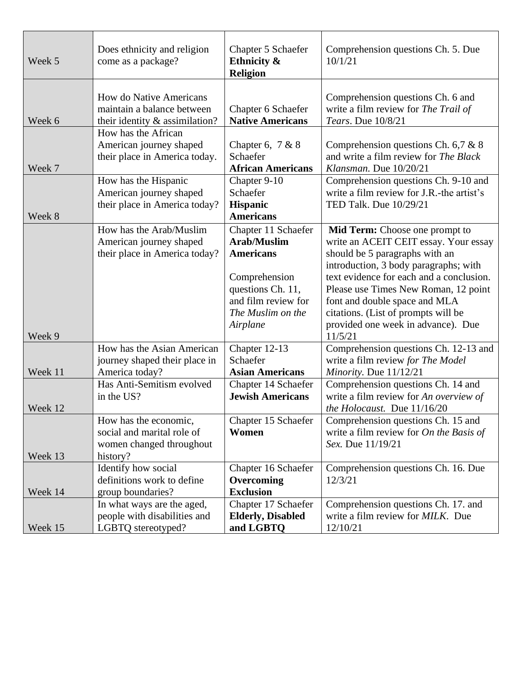| Week 5  | Does ethnicity and religion<br>come as a package?                                                                 | Chapter 5 Schaefer<br>Ethnicity &<br><b>Religion</b>                                                                                                        | Comprehension questions Ch. 5. Due<br>10/1/21                                                                                                                                                                                                                                                                                                                   |
|---------|-------------------------------------------------------------------------------------------------------------------|-------------------------------------------------------------------------------------------------------------------------------------------------------------|-----------------------------------------------------------------------------------------------------------------------------------------------------------------------------------------------------------------------------------------------------------------------------------------------------------------------------------------------------------------|
| Week 6  | How do Native Americans<br>maintain a balance between<br>their identity $\&$ assimilation?<br>How has the African | Chapter 6 Schaefer<br><b>Native Americans</b>                                                                                                               | Comprehension questions Ch. 6 and<br>write a film review for The Trail of<br>Tears. Due 10/8/21                                                                                                                                                                                                                                                                 |
| Week 7  | American journey shaped<br>their place in America today.                                                          | Chapter 6, $7 & 8$<br>Schaefer<br><b>African Americans</b>                                                                                                  | Comprehension questions Ch. 6,7 & 8<br>and write a film review for The Black<br>Klansman. Due 10/20/21                                                                                                                                                                                                                                                          |
| Week 8  | How has the Hispanic<br>American journey shaped<br>their place in America today?                                  | Chapter 9-10<br>Schaefer<br><b>Hispanic</b><br><b>Americans</b>                                                                                             | Comprehension questions Ch. 9-10 and<br>write a film review for J.R.-the artist's<br>TED Talk. Due 10/29/21                                                                                                                                                                                                                                                     |
| Week 9  | How has the Arab/Muslim<br>American journey shaped<br>their place in America today?                               | Chapter 11 Schaefer<br><b>Arab/Muslim</b><br><b>Americans</b><br>Comprehension<br>questions Ch. 11,<br>and film review for<br>The Muslim on the<br>Airplane | Mid Term: Choose one prompt to<br>write an ACEIT CEIT essay. Your essay<br>should be 5 paragraphs with an<br>introduction, 3 body paragraphs; with<br>text evidence for each and a conclusion.<br>Please use Times New Roman, 12 point<br>font and double space and MLA<br>citations. (List of prompts will be<br>provided one week in advance). Due<br>11/5/21 |
| Week 11 | How has the Asian American<br>journey shaped their place in<br>America today?                                     | Chapter 12-13<br>Schaefer<br><b>Asian Americans</b>                                                                                                         | Comprehension questions Ch. 12-13 and<br>write a film review for The Model<br>Minority. Due 11/12/21                                                                                                                                                                                                                                                            |
| Week 12 | Has Anti-Semitism evolved<br>in the US?                                                                           | Chapter 14 Schaefer<br><b>Jewish Americans</b>                                                                                                              | Comprehension questions Ch. 14 and<br>write a film review for An overview of<br>the Holocaust. Due 11/16/20                                                                                                                                                                                                                                                     |
| Week 13 | How has the economic,<br>social and marital role of<br>women changed throughout<br>history?                       | Chapter 15 Schaefer<br>Women                                                                                                                                | Comprehension questions Ch. 15 and<br>write a film review for $On$ the Basis of<br>Sex. Due 11/19/21                                                                                                                                                                                                                                                            |
| Week 14 | Identify how social<br>definitions work to define<br>group boundaries?                                            | Chapter 16 Schaefer<br>Overcoming<br><b>Exclusion</b>                                                                                                       | Comprehension questions Ch. 16. Due<br>12/3/21                                                                                                                                                                                                                                                                                                                  |
| Week 15 | In what ways are the aged,<br>people with disabilities and<br>LGBTQ stereotyped?                                  | Chapter 17 Schaefer<br><b>Elderly, Disabled</b><br>and LGBTQ                                                                                                | Comprehension questions Ch. 17. and<br>write a film review for <i>MILK</i> . Due<br>12/10/21                                                                                                                                                                                                                                                                    |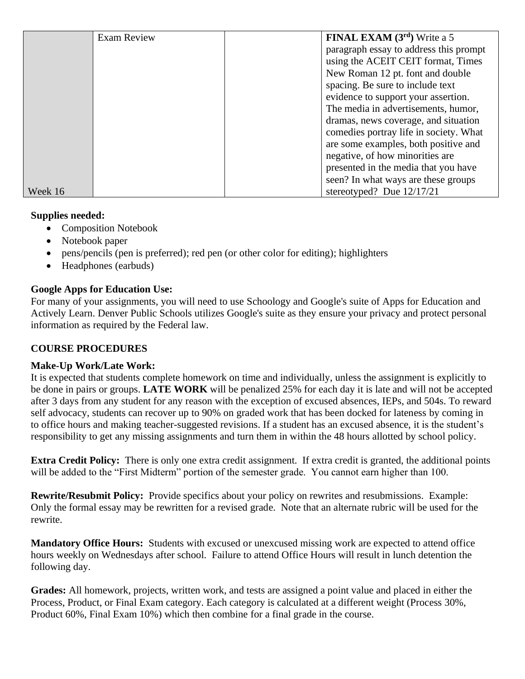|         | <b>Exam Review</b> | <b>FINAL EXAM</b> $(3rd)$ Write a 5    |
|---------|--------------------|----------------------------------------|
|         |                    | paragraph essay to address this prompt |
|         |                    | using the ACEIT CEIT format, Times     |
|         |                    | New Roman 12 pt. font and double       |
|         |                    | spacing. Be sure to include text       |
|         |                    | evidence to support your assertion.    |
|         |                    | The media in advertisements, humor,    |
|         |                    | dramas, news coverage, and situation   |
|         |                    | comedies portray life in society. What |
|         |                    | are some examples, both positive and   |
|         |                    | negative, of how minorities are        |
|         |                    | presented in the media that you have   |
|         |                    | seen? In what ways are these groups    |
| Week 16 |                    | stereotyped? Due $12/17/21$            |

### **Supplies needed:**

- Composition Notebook
- Notebook paper
- pens/pencils (pen is preferred); red pen (or other color for editing); highlighters
- Headphones (earbuds)

# **Google Apps for Education Use:**

For many of your assignments, you will need to use Schoology and Google's suite of Apps for Education and Actively Learn. Denver Public Schools utilizes Google's suite as they ensure your privacy and protect personal information as required by the Federal law.

# **COURSE PROCEDURES**

# **Make-Up Work/Late Work:**

It is expected that students complete homework on time and individually, unless the assignment is explicitly to be done in pairs or groups. **LATE WORK** will be penalized 25% for each day it is late and will not be accepted after 3 days from any student for any reason with the exception of excused absences, IEPs, and 504s. To reward self advocacy, students can recover up to 90% on graded work that has been docked for lateness by coming in to office hours and making teacher-suggested revisions. If a student has an excused absence, it is the student's responsibility to get any missing assignments and turn them in within the 48 hours allotted by school policy.

**Extra Credit Policy:** There is only one extra credit assignment. If extra credit is granted, the additional points will be added to the "First Midterm" portion of the semester grade. You cannot earn higher than 100.

**Rewrite/Resubmit Policy:** Provide specifics about your policy on rewrites and resubmissions. Example: Only the formal essay may be rewritten for a revised grade. Note that an alternate rubric will be used for the rewrite.

**Mandatory Office Hours:** Students with excused or unexcused missing work are expected to attend office hours weekly on Wednesdays after school. Failure to attend Office Hours will result in lunch detention the following day.

**Grades:** All homework, projects, written work, and tests are assigned a point value and placed in either the Process, Product, or Final Exam category. Each category is calculated at a different weight (Process 30%, Product 60%, Final Exam 10%) which then combine for a final grade in the course.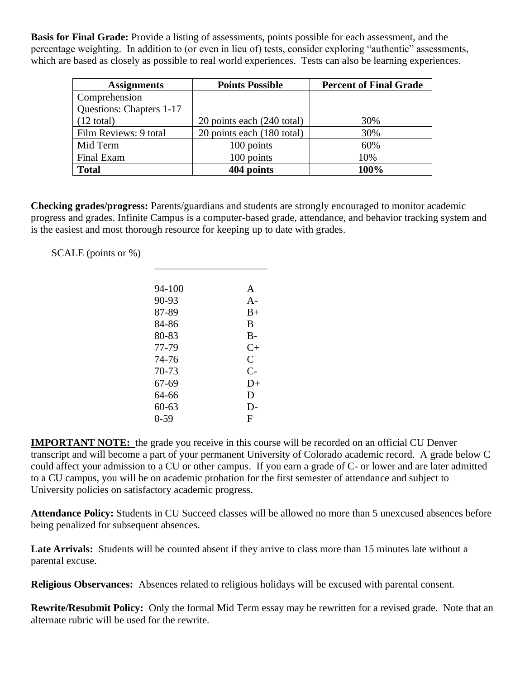**Basis for Final Grade:** Provide a listing of assessments, points possible for each assessment, and the percentage weighting. In addition to (or even in lieu of) tests, consider exploring "authentic" assessments, which are based as closely as possible to real world experiences. Tests can also be learning experiences.

| <b>Assignments</b>       | <b>Points Possible</b>     | <b>Percent of Final Grade</b> |
|--------------------------|----------------------------|-------------------------------|
| Comprehension            |                            |                               |
| Questions: Chapters 1-17 |                            |                               |
| $(12 \text{ total})$     | 20 points each (240 total) | 30%                           |
| Film Reviews: 9 total    | 20 points each (180 total) | 30%                           |
| Mid Term                 | 100 points                 | 60%                           |
| Final Exam               | 100 points                 | 10%                           |
| <b>Total</b>             | 404 points                 | 100%                          |

**Checking grades/progress:** Parents/guardians and students are strongly encouraged to monitor academic progress and grades. Infinite Campus is a computer-based grade, attendance, and behavior tracking system and is the easiest and most thorough resource for keeping up to date with grades.

SCALE (points or %)

| 94-100    | A     |
|-----------|-------|
| 90-93     | $A-$  |
| 87-89     | $B+$  |
| 84-86     | B     |
| 80-83     | $B -$ |
| 77-79     | C+    |
| 74-76     | C     |
| 70-73     | $C-$  |
| 67-69     | D+    |
| 64-66     | D     |
| $60 - 63$ | D-    |
| $0-59$    | F     |

\_\_\_\_\_\_\_\_\_\_\_\_\_\_\_\_\_\_\_\_\_\_

**IMPORTANT NOTE:** the grade you receive in this course will be recorded on an official CU Denver transcript and will become a part of your permanent University of Colorado academic record. A grade below C could affect your admission to a CU or other campus. If you earn a grade of C- or lower and are later admitted to a CU campus, you will be on academic probation for the first semester of attendance and subject to University policies on satisfactory academic progress.

**Attendance Policy:** Students in CU Succeed classes will be allowed no more than 5 unexcused absences before being penalized for subsequent absences.

Late Arrivals: Students will be counted absent if they arrive to class more than 15 minutes late without a parental excuse.

**Religious Observances:** Absences related to religious holidays will be excused with parental consent.

**Rewrite/Resubmit Policy:** Only the formal Mid Term essay may be rewritten for a revised grade. Note that an alternate rubric will be used for the rewrite.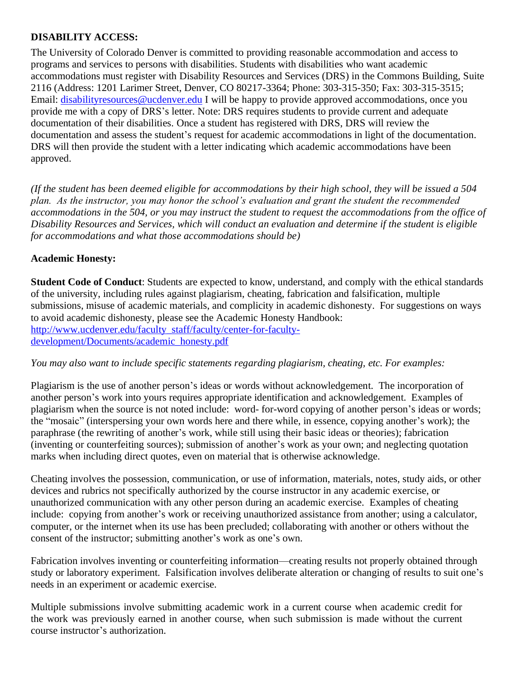### **DISABILITY ACCESS:**

The University of Colorado Denver is committed to providing reasonable accommodation and access to programs and services to persons with disabilities. Students with disabilities who want academic accommodations must register with Disability Resources and Services (DRS) in the Commons Building, Suite 2116 (Address: 1201 Larimer Street, Denver, CO 80217-3364; Phone: 303-315-350; Fax: 303-315-3515; Email: [disabilityresources@ucdenver.edu](mailto:disabilityresources@ucdenver.edu) I will be happy to provide approved accommodations, once you provide me with a copy of DRS's letter. Note: DRS requires students to provide current and adequate documentation of their disabilities. Once a student has registered with DRS, DRS will review the documentation and assess the student's request for academic accommodations in light of the documentation. DRS will then provide the student with a letter indicating which academic accommodations have been approved.

*(If the student has been deemed eligible for accommodations by their high school, they will be issued a 504 plan. As the instructor, you may honor the school's evaluation and grant the student the recommended accommodations in the 504, or you may instruct the student to request the accommodations from the office of Disability Resources and Services, which will conduct an evaluation and determine if the student is eligible for accommodations and what those accommodations should be)*

### **Academic Honesty:**

**Student Code of Conduct**: Students are expected to know, understand, and comply with the ethical standards of the university, including rules against plagiarism, cheating, fabrication and falsification, multiple submissions, misuse of academic materials, and complicity in academic dishonesty. For suggestions on ways to avoid academic dishonesty, please see the Academic Honesty Handbook: [http://www.ucdenver.edu/faculty\\_staff/faculty/center-for-faculty](http://spdev.ucdenver.edu/faculty_staff/faculty/center-for-faculty-development/Documents/academic_honesty.pdf)[development/Documents/academic\\_honesty.pdf](http://spdev.ucdenver.edu/faculty_staff/faculty/center-for-faculty-development/Documents/academic_honesty.pdf)

#### *You may also want to include specific statements regarding plagiarism, cheating, etc. For examples:*

Plagiarism is the use of another person's ideas or words without acknowledgement. The incorporation of another person's work into yours requires appropriate identification and acknowledgement. Examples of plagiarism when the source is not noted include: word- for-word copying of another person's ideas or words; the "mosaic" (interspersing your own words here and there while, in essence, copying another's work); the paraphrase (the rewriting of another's work, while still using their basic ideas or theories); fabrication (inventing or counterfeiting sources); submission of another's work as your own; and neglecting quotation marks when including direct quotes, even on material that is otherwise acknowledge.

Cheating involves the possession, communication, or use of information, materials, notes, study aids, or other devices and rubrics not specifically authorized by the course instructor in any academic exercise, or unauthorized communication with any other person during an academic exercise. Examples of cheating include: copying from another's work or receiving unauthorized assistance from another; using a calculator, computer, or the internet when its use has been precluded; collaborating with another or others without the consent of the instructor; submitting another's work as one's own.

Fabrication involves inventing or counterfeiting information—creating results not properly obtained through study or laboratory experiment. Falsification involves deliberate alteration or changing of results to suit one's needs in an experiment or academic exercise.

Multiple submissions involve submitting academic work in a current course when academic credit for the work was previously earned in another course, when such submission is made without the current course instructor's authorization.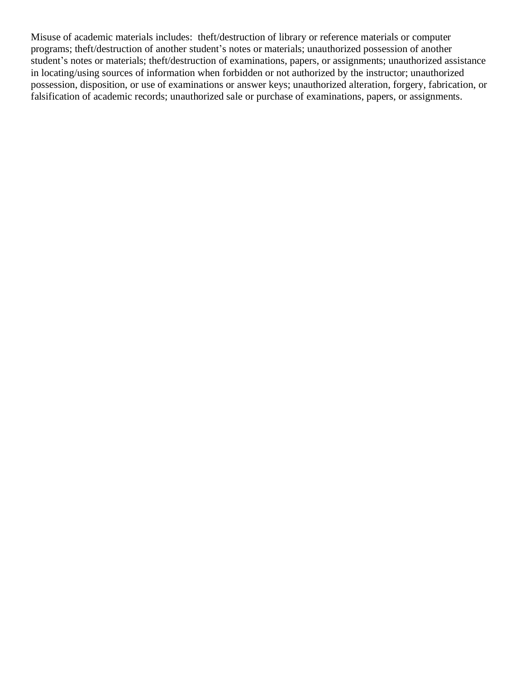Misuse of academic materials includes: theft/destruction of library or reference materials or computer programs; theft/destruction of another student's notes or materials; unauthorized possession of another student's notes or materials; theft/destruction of examinations, papers, or assignments; unauthorized assistance in locating/using sources of information when forbidden or not authorized by the instructor; unauthorized possession, disposition, or use of examinations or answer keys; unauthorized alteration, forgery, fabrication, or falsification of academic records; unauthorized sale or purchase of examinations, papers, or assignments.